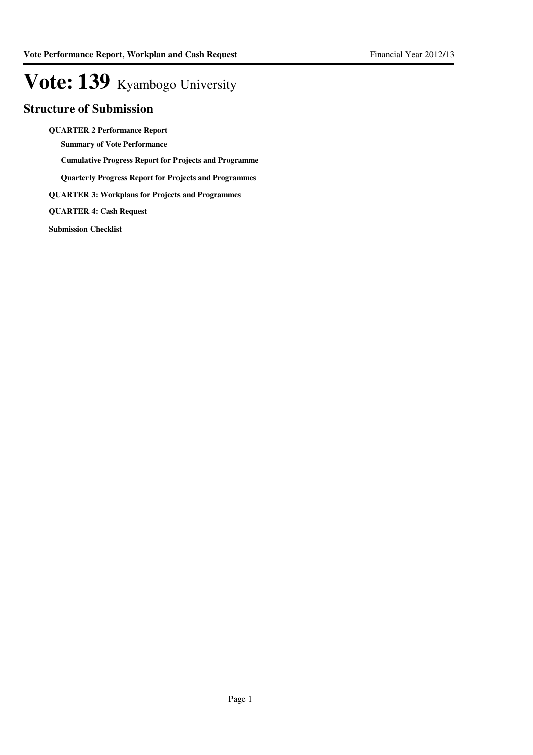### **Structure of Submission**

**QUARTER 2 Performance Report**

**Summary of Vote Performance**

**Cumulative Progress Report for Projects and Programme**

**Quarterly Progress Report for Projects and Programmes**

**QUARTER 3: Workplans for Projects and Programmes**

**QUARTER 4: Cash Request**

**Submission Checklist**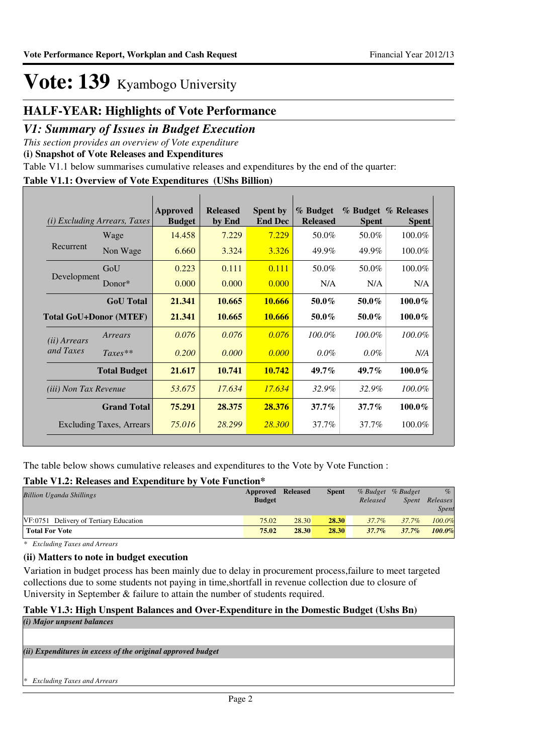## **HALF-YEAR: Highlights of Vote Performance**

### *V1: Summary of Issues in Budget Execution*

*This section provides an overview of Vote expenditure* 

**(i) Snapshot of Vote Releases and Expenditures**

Table V1.1 below summarises cumulative releases and expenditures by the end of the quarter:

#### **Table V1.1: Overview of Vote Expenditures (UShs Billion)**

|                              | ( <i>i</i> ) Excluding Arrears, Taxes | <b>Approved</b><br><b>Budget</b> | <b>Released</b><br>by End | <b>Spent by</b><br><b>End Dec</b> | % Budget<br><b>Released</b> | <b>Spent</b> | % Budget % Releases<br><b>Spent</b> |
|------------------------------|---------------------------------------|----------------------------------|---------------------------|-----------------------------------|-----------------------------|--------------|-------------------------------------|
|                              | Wage                                  | 14.458                           | 7.229                     | 7.229                             | 50.0%                       | 50.0%        | 100.0%                              |
| Recurrent                    | Non Wage                              | 6.660                            | 3.324                     | 3.326                             | 49.9%                       | 49.9%        | 100.0%                              |
|                              | GoU                                   | 0.223                            | 0.111                     | 0.111                             | 50.0%                       | 50.0%        | 100.0%                              |
| Development                  | Donor*                                | 0.000                            | 0.000                     | 0.000                             | N/A                         | N/A          | N/A                                 |
|                              | <b>GoU</b> Total                      | 21.341                           | 10.665                    | 10.666                            | $50.0\%$                    | 50.0%        | $100.0\%$                           |
|                              | <b>Total GoU+Donor (MTEF)</b>         | 21.341                           | 10.665                    | 10.666                            | $50.0\%$                    | $50.0\%$     | 100.0%                              |
| ( <i>ii</i> ) Arrears        | Arrears                               | 0.076                            | 0.076                     | 0.076                             | 100.0%                      | $100.0\%$    | 100.0%                              |
| and Taxes                    | $Taxes**$                             | 0.200                            | 0.000                     | 0.000                             | $0.0\%$                     | $0.0\%$      | N/A                                 |
|                              | <b>Total Budget</b>                   | 21.617                           | 10.741                    | 10.742                            | 49.7%                       | $49.7\%$     | 100.0%                              |
| <i>(iii)</i> Non Tax Revenue |                                       | 53.675                           | 17.634                    | 17.634                            | 32.9%                       | 32.9%        | 100.0%                              |
|                              | <b>Grand Total</b>                    | 75.291                           | 28.375                    | 28.376                            | $37.7\%$                    | $37.7\%$     | 100.0%                              |
|                              | <b>Excluding Taxes, Arrears</b>       | 75.016                           | 28.299                    | <b>28.300</b>                     | 37.7%                       | 37.7%        | 100.0%                              |

The table below shows cumulative releases and expenditures to the Vote by Vote Function :

#### **Table V1.2: Releases and Expenditure by Vote Function\***

| Tuoit + IIII Ruhumoo uhu Laipthunun o o + + ole I uhtehon |                   |       |              |          |                   |              |
|-----------------------------------------------------------|-------------------|-------|--------------|----------|-------------------|--------------|
| <b>Billion Uganda Shillings</b>                           | Approved Released |       | <b>Spent</b> |          | % Budget % Budget | $\%$         |
|                                                           | <b>Budget</b>     |       |              | Released | Spent             | Releases     |
|                                                           |                   |       |              |          |                   | <i>Spent</i> |
| VF:0751 Delivery of Tertiary Education                    | 75.02             | 28.30 | 28.30        | $37.7\%$ | 37.7%             | 100.0%       |
| <b>Total For Vote</b>                                     | 75.02             | 28.30 | 28.30        | $37.7\%$ | $37.7\%$          | 100.0%       |
|                                                           |                   |       |              |          |                   |              |

*\* Excluding Taxes and Arrears*

#### **(ii) Matters to note in budget execution**

Variation in budget process has been mainly due to delay in procurement process,failure to meet targeted collections due to some students not paying in time,shortfall in revenue collection due to closure of University in September & failure to attain the number of students required.

#### **Table V1.3: High Unspent Balances and Over-Expenditure in the Domestic Budget (Ushs Bn)** *(i) Major unpsent balances*

*(ii) Expenditures in excess of the original approved budget*

*\* Excluding Taxes and Arrears*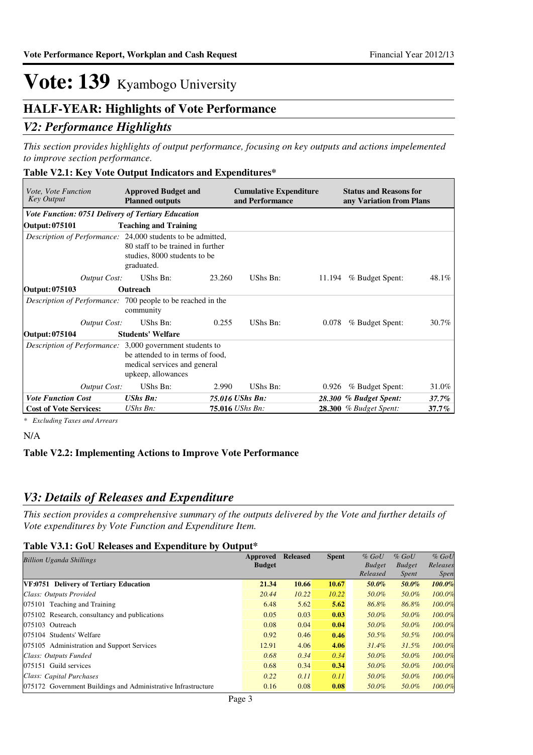### **HALF-YEAR: Highlights of Vote Performance**

### *V2: Performance Highlights*

*This section provides highlights of output performance, focusing on key outputs and actions impelemented to improve section performance.*

#### **Table V2.1: Key Vote Output Indicators and Expenditures\***

| <i>Vote, Vote Function</i><br><b>Key Output</b>                    | <b>Approved Budget and</b><br><b>Planned outputs</b>                                   |        | <b>Cumulative Expenditure</b><br>and Performance |        | <b>Status and Reasons for</b><br>any Variation from Plans |          |
|--------------------------------------------------------------------|----------------------------------------------------------------------------------------|--------|--------------------------------------------------|--------|-----------------------------------------------------------|----------|
| <b>Vote Function: 0751 Delivery of Tertiary Education</b>          |                                                                                        |        |                                                  |        |                                                           |          |
| <b>Output: 075101</b>                                              | <b>Teaching and Training</b>                                                           |        |                                                  |        |                                                           |          |
| <i>Description of Performance:</i> 24,000 students to be admitted, | 80 staff to be trained in further<br>studies, 8000 students to be<br>graduated.        |        |                                                  |        |                                                           |          |
| Output Cost:                                                       | UShs Bn:                                                                               | 23.260 | UShs Bn:                                         | 11.194 | % Budget Spent:                                           | 48.1%    |
| Output: 075103                                                     | Outreach                                                                               |        |                                                  |        |                                                           |          |
| <i>Description of Performance:</i> 700 people to be reached in the | community                                                                              |        |                                                  |        |                                                           |          |
| Output Cost:                                                       | UShs Bn:                                                                               | 0.255  | UShs Bn:                                         | 0.078  | % Budget Spent:                                           | $30.7\%$ |
| Output: 075104                                                     | <b>Students' Welfare</b>                                                               |        |                                                  |        |                                                           |          |
| Description of Performance: 3,000 government students to           | be attended to in terms of food.<br>medical services and general<br>upkeep, allowances |        |                                                  |        |                                                           |          |
| Output Cost:                                                       | UShs Bn:                                                                               | 2.990  | UShs Bn:                                         | 0.926  | % Budget Spent:                                           | 31.0%    |
| <b>Vote Function Cost</b>                                          | <b>UShs Bn:</b>                                                                        |        | 75.016 UShs Bn:                                  |        | 28.300 % Budget Spent:                                    | $37.7\%$ |
| <b>Cost of Vote Services:</b>                                      | $UShs Bn$ :                                                                            |        | 75.016 UShs Bn:                                  |        | <b>28.300</b> % Budget Spent:                             | 37.7%    |

*\* Excluding Taxes and Arrears*

N/A

#### **Table V2.2: Implementing Actions to Improve Vote Performance**

### *V3: Details of Releases and Expenditure*

*This section provides a comprehensive summary of the outputs delivered by the Vote and further details of Vote expenditures by Vote Function and Expenditure Item.*

#### **Table V3.1: GoU Releases and Expenditure by Output\***

| <b>Billion Uganda Shillings</b>                               | Approved      | <b>Released</b> | <b>Spent</b> | $%$ GoU       | $%$ GoU       | $%$ GoU     |
|---------------------------------------------------------------|---------------|-----------------|--------------|---------------|---------------|-------------|
|                                                               | <b>Budget</b> |                 |              | <b>Budget</b> | <b>Budget</b> | Releases    |
|                                                               |               |                 |              | Released      | <i>Spent</i>  | <i>Spen</i> |
| VF:0751 Delivery of Tertiary Education                        | 21.34         | 10.66           | 10.67        | 50.0%         | 50.0%         | 100.0%      |
| Class: Outputs Provided                                       | 20.44         | 10.22           | 10.22        | 50.0%         | 50.0%         | 100.0%      |
| 075101 Teaching and Training                                  | 6.48          | 5.62            | 5.62         | 86.8%         | 86.8%         | 100.0%      |
| 075102 Research, consultancy and publications                 | 0.05          | 0.03            | 0.03         | 50.0%         | 50.0%         | 100.0%      |
| 075103 Outreach                                               | 0.08          | 0.04            | 0.04         | 50.0%         | 50.0%         | 100.0%      |
| 075104 Students' Welfare                                      | 0.92          | 0.46            | 0.46         | 50.5%         | 50.5%         | 100.0%      |
| 075105 Administration and Support Services                    | 12.91         | 4.06            | 4.06         | $31.4\%$      | $31.5\%$      | 100.0%      |
| Class: Outputs Funded                                         | 0.68          | 0.34            | 0.34         | 50.0%         | 50.0%         | 100.0%      |
| 075151 Guild services                                         | 0.68          | 0.34            | 0.34         | 50.0%         | 50.0%         | 100.0%      |
| Class: Capital Purchases                                      | 0.22          | 0.11            | 0.11         | 50.0%         | 50.0%         | 100.0%      |
| 075172 Government Buildings and Administrative Infrastructure | 0.16          | 0.08            | 0.08         | 50.0%         | 50.0%         | 100.0%      |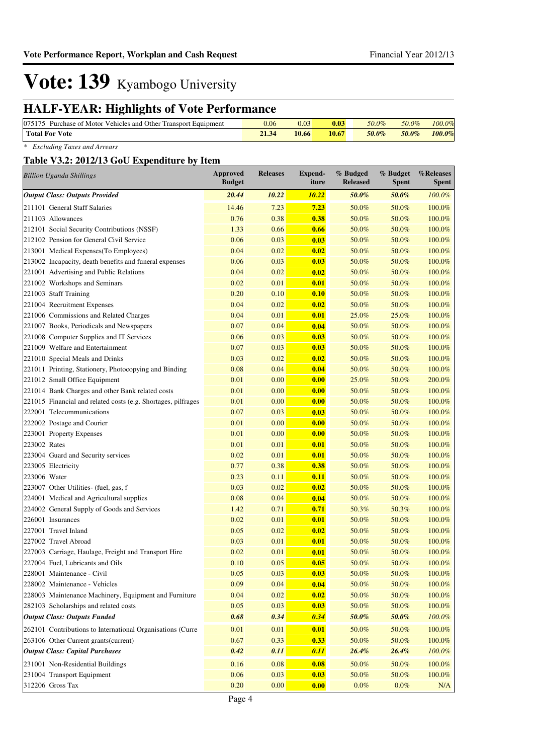## **HALF-YEAR: Highlights of Vote Performance**

| 075175 Purchase of Motor Vehicles and Other Transport Equipment | 0.06 | 0.03  | 0.03  | $50.0\%$ | 50.0% | 100.0% |
|-----------------------------------------------------------------|------|-------|-------|----------|-------|--------|
| Total For Vote                                                  |      | 10.66 | 10.67 | 50.0%    | 50.0% | 100.0% |

*\* Excluding Taxes and Arrears*

#### **Table V3.2: 2012/13 GoU Expenditure by Item**

|                    | <b>Billion Uganda Shillings</b>                               | <b>Approved</b><br><b>Budget</b> | <b>Releases</b> | <b>Expend-</b><br>iture | % Budged<br><b>Released</b> | % Budget<br><b>Spent</b> | %Releases<br><b>Spent</b> |
|--------------------|---------------------------------------------------------------|----------------------------------|-----------------|-------------------------|-----------------------------|--------------------------|---------------------------|
|                    | <b>Output Class: Outputs Provided</b>                         | 20.44                            | 10.22           | <b>10.22</b>            | 50.0%                       | 50.0%                    | $100.0\%$                 |
|                    | 211101 General Staff Salaries                                 | 14.46                            | 7.23            | 7.23                    | 50.0%                       | 50.0%                    | 100.0%                    |
|                    | 211103 Allowances                                             | 0.76                             | 0.38            | 0.38                    | 50.0%                       | 50.0%                    | 100.0%                    |
|                    | 212101 Social Security Contributions (NSSF)                   | 1.33                             | 0.66            | 0.66                    | 50.0%                       | 50.0%                    | 100.0%                    |
|                    | 212102 Pension for General Civil Service                      | 0.06                             | 0.03            | 0.03                    | 50.0%                       | 50.0%                    | 100.0%                    |
|                    | 213001 Medical Expenses(To Employees)                         | 0.04                             | 0.02            | 0.02                    | 50.0%                       | 50.0%                    | 100.0%                    |
|                    | 213002 Incapacity, death benefits and funeral expenses        | 0.06                             | 0.03            | 0.03                    | 50.0%                       | 50.0%                    | 100.0%                    |
|                    | 221001 Advertising and Public Relations                       | 0.04                             | 0.02            | 0.02                    | 50.0%                       | 50.0%                    | 100.0%                    |
|                    | 221002 Workshops and Seminars                                 | 0.02                             | 0.01            | 0.01                    | 50.0%                       | 50.0%                    | 100.0%                    |
|                    | 221003 Staff Training                                         | 0.20                             | 0.10            | 0.10                    | 50.0%                       | 50.0%                    | 100.0%                    |
|                    | 221004 Recruitment Expenses                                   | 0.04                             | 0.02            | 0.02                    | 50.0%                       | 50.0%                    | 100.0%                    |
|                    | 221006 Commissions and Related Charges                        | 0.04                             | 0.01            | 0.01                    | 25.0%                       | 25.0%                    | 100.0%                    |
|                    | 221007 Books, Periodicals and Newspapers                      | 0.07                             | 0.04            | 0.04                    | 50.0%                       | 50.0%                    | 100.0%                    |
|                    | 221008 Computer Supplies and IT Services                      | 0.06                             | 0.03            | 0.03                    | 50.0%                       | 50.0%                    | 100.0%                    |
|                    | 221009 Welfare and Entertainment                              | 0.07                             | 0.03            | 0.03                    | 50.0%                       | 50.0%                    | 100.0%                    |
|                    | 221010 Special Meals and Drinks                               | 0.03                             | 0.02            | 0.02                    | 50.0%                       | 50.0%                    | 100.0%                    |
|                    | 221011 Printing, Stationery, Photocopying and Binding         | 0.08                             | 0.04            | 0.04                    | 50.0%                       | 50.0%                    | 100.0%                    |
|                    | 221012 Small Office Equipment                                 | 0.01                             | 0.00            | 0.00                    | 25.0%                       | 50.0%                    | 200.0%                    |
|                    | 221014 Bank Charges and other Bank related costs              | 0.01                             | 0.00            | 0.00                    | 50.0%                       | 50.0%                    | 100.0%                    |
|                    | 221015 Financial and related costs (e.g. Shortages, pilfrages | 0.01                             | 0.00            | 0.00                    | 50.0%                       | 50.0%                    | 100.0%                    |
|                    | 222001 Telecommunications                                     | 0.07                             | 0.03            | 0.03                    | 50.0%                       | 50.0%                    | 100.0%                    |
|                    | 222002 Postage and Courier                                    | 0.01                             | 0.00            | 0.00                    | 50.0%                       | 50.0%                    | 100.0%                    |
|                    | 223001 Property Expenses                                      | 0.01                             | 0.00            | 0.00                    | 50.0%                       | 50.0%                    | 100.0%                    |
| 223002 Rates       |                                                               | 0.01                             | 0.01            | 0.01                    | 50.0%                       | 50.0%                    | 100.0%                    |
|                    | 223004 Guard and Security services                            | 0.02                             | 0.01            | 0.01                    | 50.0%                       | 50.0%                    | 100.0%                    |
| 223005 Electricity |                                                               | 0.77                             | 0.38            | 0.38                    | 50.0%                       | 50.0%                    | 100.0%                    |
| 223006 Water       |                                                               | 0.23                             | 0.11            | 0.11                    | 50.0%                       | 50.0%                    | 100.0%                    |
|                    | 223007 Other Utilities- (fuel, gas, f                         | 0.03                             | 0.02            | 0.02                    | 50.0%                       | 50.0%                    | 100.0%                    |
|                    | 224001 Medical and Agricultural supplies                      | 0.08                             | 0.04            | 0.04                    | 50.0%                       | 50.0%                    | 100.0%                    |
|                    | 224002 General Supply of Goods and Services                   | 1.42                             | 0.71            | 0.71                    | 50.3%                       | 50.3%                    | 100.0%                    |
|                    | 226001 Insurances                                             | 0.02                             | 0.01            | 0.01                    | 50.0%                       | 50.0%                    | 100.0%                    |
|                    | 227001 Travel Inland                                          | 0.05                             | 0.02            | 0.02                    | 50.0%                       | 50.0%                    | 100.0%                    |
|                    | 227002 Travel Abroad                                          | 0.03                             | 0.01            | 0.01                    | 50.0%                       | 50.0%                    | 100.0%                    |
|                    | 227003 Carriage, Haulage, Freight and Transport Hire          | 0.02                             | 0.01            | 0.01                    | 50.0%                       | 50.0%                    | 100.0%                    |
|                    | 227004 Fuel, Lubricants and Oils                              | 0.10                             | 0.05            | 0.05                    | 50.0%                       | 50.0%                    | 100.0%                    |
|                    | 228001 Maintenance - Civil                                    | 0.05                             | 0.03            | 0.03                    | 50.0%                       | 50.0%                    | 100.0%                    |
|                    | 228002 Maintenance - Vehicles                                 | 0.09                             | 0.04            | 0.04                    | 50.0%                       | 50.0%                    | 100.0%                    |
|                    | 228003 Maintenance Machinery, Equipment and Furniture         | 0.04                             | 0.02            | 0.02                    | 50.0%                       | 50.0%                    | 100.0%                    |
|                    | 282103 Scholarships and related costs                         | 0.05                             | 0.03            | 0.03                    | 50.0%                       | 50.0%                    | 100.0%                    |
|                    | <b>Output Class: Outputs Funded</b>                           | 0.68                             | 0.34            | 0.34                    | 50.0%                       | 50.0%                    | 100.0%                    |
|                    | 262101 Contributions to International Organisations (Curre    | 0.01                             | 0.01            | 0.01                    | 50.0%                       | 50.0%                    | 100.0%                    |
|                    | 263106 Other Current grants(current)                          | 0.67                             | 0.33            | 0.33                    | 50.0%                       | 50.0%                    | 100.0%                    |
|                    | <b>Output Class: Capital Purchases</b>                        | 0.42                             | 0.11            | 0.11                    | 26.4%                       | 26.4%                    | 100.0%                    |
|                    | 231001 Non-Residential Buildings                              | 0.16                             | 0.08            | 0.08                    | 50.0%                       | 50.0%                    | 100.0%                    |
|                    | 231004 Transport Equipment                                    | 0.06                             | 0.03            | 0.03                    | 50.0%                       | 50.0%                    | 100.0%                    |
|                    | 312206 Gross Tax                                              | 0.20                             | 0.00            | 0.00                    | $0.0\%$                     | $0.0\%$                  | N/A                       |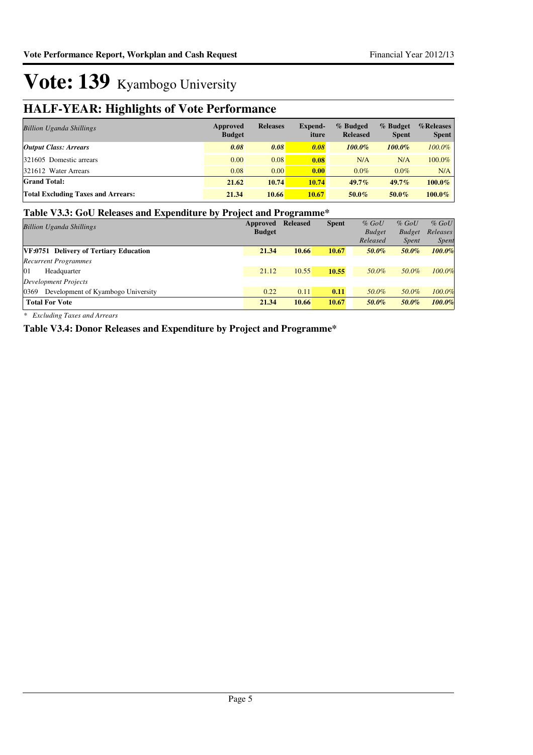## **HALF-YEAR: Highlights of Vote Performance**

| <b>Billion Uganda Shillings</b>           | Approved<br><b>Budget</b> | <b>Releases</b> | Expend-<br>iture | % Budged<br><b>Released</b> | % Budget<br><b>Spent</b> | $%$ Releases<br><b>Spent</b> |
|-------------------------------------------|---------------------------|-----------------|------------------|-----------------------------|--------------------------|------------------------------|
| <b>Output Class: Arrears</b>              | 0.08                      | 0.08            | 0.08             | 100.0%                      | $100.0\%$                | $100.0\%$                    |
| 321605 Domestic arrears                   | 0.00                      | 0.08            | 0.08             | N/A                         | N/A                      | 100.0%                       |
| 321612 Water Arrears                      | 0.08                      | 0.00            | 0.00             | $0.0\%$                     | $0.0\%$                  | N/A                          |
| <b>Grand Total:</b>                       | 21.62                     | 10.74           | 10.74            | $49.7\%$                    | $49.7\%$                 | $100.0\%$                    |
| <b>Total Excluding Taxes and Arrears:</b> | 21.34                     | 10.66           | 10.67            | $50.0\%$                    | $50.0\%$                 | $100.0\%$                    |

#### **Table V3.3: GoU Releases and Expenditure by Project and Programme\***

|                                            | -             | $\overline{ }$  |              |               |               |              |
|--------------------------------------------|---------------|-----------------|--------------|---------------|---------------|--------------|
| <b>Billion Uganda Shillings</b>            | Approved      | <b>Released</b> | <b>Spent</b> | $%$ GoU       | $%$ GoU       | $%$ GoU      |
|                                            | <b>Budget</b> |                 |              | <b>Budget</b> | <b>Budget</b> | Releases     |
|                                            |               |                 |              | Released      | <i>Spent</i>  | <i>Spent</i> |
| VF:0751 Delivery of Tertiary Education     | 21.34         | 10.66           | 10.67        | 50.0%         | 50.0%         | 100.0%       |
| <b>Recurrent Programmes</b>                |               |                 |              |               |               |              |
| 01<br>Headquarter                          | 21.12         | 10.55           | 10.55        | 50.0%         | 50.0%         | 100.0%       |
| Development Projects                       |               |                 |              |               |               |              |
| 0369<br>Development of Kyambogo University | 0.22          | 0.11            | 0.11         | 50.0%         | 50.0%         | 100.0%       |
| <b>Total For Vote</b>                      | 21.34         | 10.66           | 10.67        | 50.0%         | 50.0%         | 100.0%       |
|                                            |               |                 |              |               |               |              |

*\* Excluding Taxes and Arrears*

**Table V3.4: Donor Releases and Expenditure by Project and Programme\***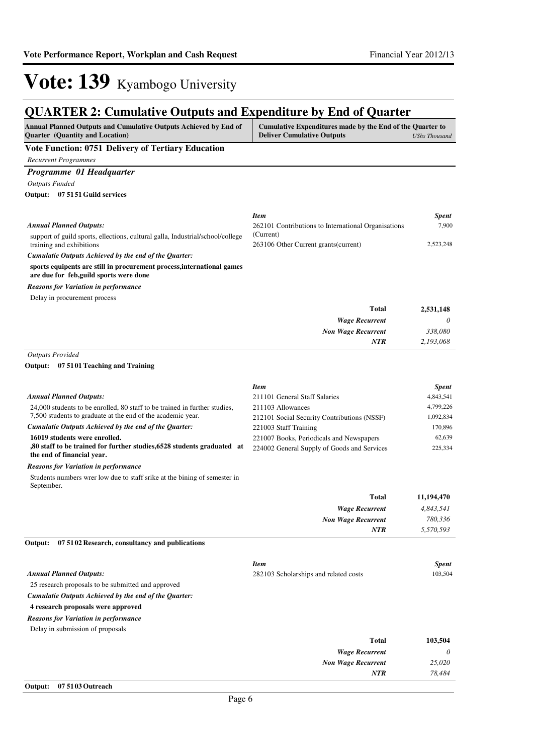### **QUARTER 2: Cumulative Outputs and Expenditure by End of Quarter**

| QUANTEN 2. Cumulative Outputs and Expenditure by Eini of Quarter                                                                       |                                                                                                                        |                         |  |
|----------------------------------------------------------------------------------------------------------------------------------------|------------------------------------------------------------------------------------------------------------------------|-------------------------|--|
| Annual Planned Outputs and Cumulative Outputs Achieved by End of<br>Quarter (Quantity and Location)                                    | Cumulative Expenditures made by the End of the Quarter to<br><b>Deliver Cumulative Outputs</b><br><b>UShs Thousand</b> |                         |  |
| Vote Function: 0751 Delivery of Tertiary Education                                                                                     |                                                                                                                        |                         |  |
| <b>Recurrent Programmes</b>                                                                                                            |                                                                                                                        |                         |  |
| Programme 01 Headquarter                                                                                                               |                                                                                                                        |                         |  |
| <b>Outputs Funded</b>                                                                                                                  |                                                                                                                        |                         |  |
| Output: 07 51 51 Guild services                                                                                                        |                                                                                                                        |                         |  |
|                                                                                                                                        |                                                                                                                        |                         |  |
|                                                                                                                                        | <b>Item</b>                                                                                                            | <b>Spent</b>            |  |
| <b>Annual Planned Outputs:</b>                                                                                                         | 262101 Contributions to International Organisations                                                                    | 7,900                   |  |
| support of guild sports, ellections, cultural galla, Industrial/school/college<br>training and exhibitions                             | (Current)<br>263106 Other Current grants (current)                                                                     | 2,523,248               |  |
| Cumulatie Outputs Achieved by the end of the Quarter:                                                                                  |                                                                                                                        |                         |  |
| sports equipents are still in procurement process, international games<br>are due for feb, guild sports were done                      |                                                                                                                        |                         |  |
| <b>Reasons for Variation in performance</b>                                                                                            |                                                                                                                        |                         |  |
| Delay in procurement process                                                                                                           |                                                                                                                        |                         |  |
|                                                                                                                                        | <b>Total</b>                                                                                                           | 2,531,148               |  |
|                                                                                                                                        | <b>Wage Recurrent</b>                                                                                                  | 0                       |  |
|                                                                                                                                        | <b>Non Wage Recurrent</b>                                                                                              | 338,080                 |  |
|                                                                                                                                        | <b>NTR</b>                                                                                                             | 2.193.068               |  |
| <b>Outputs Provided</b>                                                                                                                |                                                                                                                        |                         |  |
| Output: 07 5101 Teaching and Training                                                                                                  |                                                                                                                        |                         |  |
|                                                                                                                                        | <b>Item</b>                                                                                                            | <b>Spent</b>            |  |
| <b>Annual Planned Outputs:</b>                                                                                                         | 211101 General Staff Salaries                                                                                          | 4,843,541               |  |
| 24,000 students to be enrolled, 80 staff to be trained in further studies,                                                             | 211103 Allowances                                                                                                      | 4,799,226               |  |
| 7,500 students to graduate at the end of the academic year.                                                                            | 212101 Social Security Contributions (NSSF)                                                                            | 1,092,834               |  |
| Cumulatie Outputs Achieved by the end of the Quarter:                                                                                  | 221003 Staff Training                                                                                                  | 170,896                 |  |
| 16019 students were enrolled.<br>,80 staff to be trained for further studies, 6528 students graduated at<br>the end of financial year. | 221007 Books, Periodicals and Newspapers<br>224002 General Supply of Goods and Services                                | 62,639<br>225,334       |  |
| <b>Reasons for Variation in performance</b>                                                                                            |                                                                                                                        |                         |  |
| Students numbers wrer low due to staff srike at the bining of semester in<br>September.                                                |                                                                                                                        |                         |  |
|                                                                                                                                        | <b>Total</b>                                                                                                           | 11,194,470              |  |
|                                                                                                                                        | <b>Wage Recurrent</b>                                                                                                  | 4,843,541               |  |
|                                                                                                                                        | <b>Non Wage Recurrent</b>                                                                                              | 780,336                 |  |
| Output:<br>07 51 02 Research, consultancy and publications                                                                             | <b>NTR</b>                                                                                                             | 5,570,593               |  |
|                                                                                                                                        |                                                                                                                        |                         |  |
| <b>Annual Planned Outputs:</b>                                                                                                         | <b>Item</b>                                                                                                            | <b>Spent</b><br>103,504 |  |
| 25 research proposals to be submitted and approved                                                                                     | 282103 Scholarships and related costs                                                                                  |                         |  |
| Cumulatie Outputs Achieved by the end of the Quarter:                                                                                  |                                                                                                                        |                         |  |
| 4 research proposals were approved                                                                                                     |                                                                                                                        |                         |  |
| <b>Reasons for Variation in performance</b>                                                                                            |                                                                                                                        |                         |  |
| Delay in submission of proposals                                                                                                       |                                                                                                                        |                         |  |
|                                                                                                                                        | <b>Total</b>                                                                                                           | 103,504                 |  |
|                                                                                                                                        | <b>Wage Recurrent</b>                                                                                                  | 0                       |  |
|                                                                                                                                        | <b>Non Wage Recurrent</b>                                                                                              | 25,020                  |  |
|                                                                                                                                        | <b>NTR</b>                                                                                                             | 78,484                  |  |
|                                                                                                                                        |                                                                                                                        |                         |  |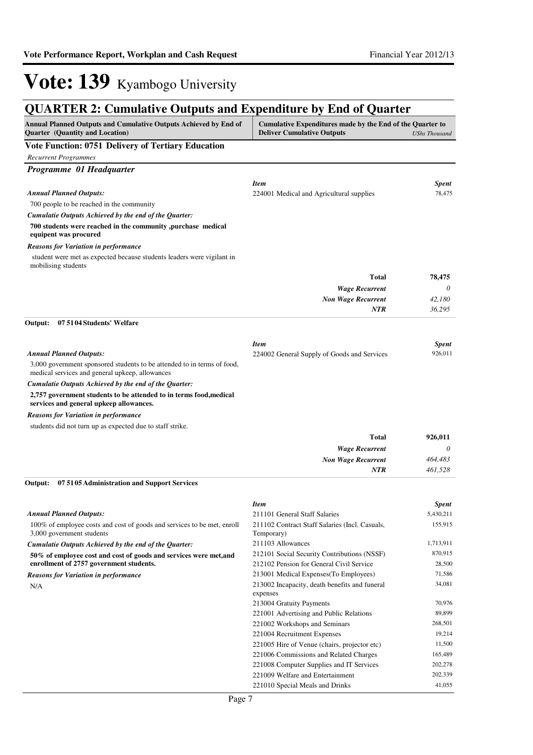## **QUARTER 2: Cumulative Outputs and Expenditure by End of Quarter**

| Annual Planned Outputs and Cumulative Outputs Achieved by End of<br><b>Quarter</b> (Quantity and Location)                 | Cumulative Expenditures made by the End of the Quarter to<br><b>Deliver Cumulative Outputs</b><br><b>UShs Thousand</b> |                   |  |  |
|----------------------------------------------------------------------------------------------------------------------------|------------------------------------------------------------------------------------------------------------------------|-------------------|--|--|
| <b>Vote Function: 0751 Delivery of Tertiary Education</b>                                                                  |                                                                                                                        |                   |  |  |
| <b>Recurrent Programmes</b>                                                                                                |                                                                                                                        |                   |  |  |
| Programme 01 Headquarter                                                                                                   |                                                                                                                        |                   |  |  |
|                                                                                                                            | <b>Item</b>                                                                                                            | Spent             |  |  |
| <b>Annual Planned Outputs:</b>                                                                                             | 224001 Medical and Agricultural supplies                                                                               | 78,475            |  |  |
| 700 people to be reached in the community                                                                                  |                                                                                                                        |                   |  |  |
| Cumulatie Outputs Achieved by the end of the Quarter:                                                                      |                                                                                                                        |                   |  |  |
| 700 students were reached in the community ,purchase medical                                                               |                                                                                                                        |                   |  |  |
| equipent was procured                                                                                                      |                                                                                                                        |                   |  |  |
| <b>Reasons for Variation in performance</b>                                                                                |                                                                                                                        |                   |  |  |
| student were met as expected because students leaders were vigilant in<br>mobilising students                              |                                                                                                                        |                   |  |  |
|                                                                                                                            | Total                                                                                                                  | 78,475            |  |  |
|                                                                                                                            | <b>Wage Recurrent</b>                                                                                                  | 0                 |  |  |
|                                                                                                                            | <b>Non Wage Recurrent</b>                                                                                              | 42,180            |  |  |
|                                                                                                                            | <b>NTR</b>                                                                                                             | 36,295            |  |  |
| Output:<br>07 51 04 Students' Welfare                                                                                      |                                                                                                                        |                   |  |  |
|                                                                                                                            |                                                                                                                        |                   |  |  |
|                                                                                                                            | <b>Item</b>                                                                                                            | <b>Spent</b>      |  |  |
| <b>Annual Planned Outputs:</b>                                                                                             | 224002 General Supply of Goods and Services                                                                            | 926,011           |  |  |
| 3,000 government sponsored students to be attended to in terms of food,<br>medical services and general upkeep, allowances |                                                                                                                        |                   |  |  |
| Cumulatie Outputs Achieved by the end of the Quarter:                                                                      |                                                                                                                        |                   |  |  |
| 2,757 government students to be attended to in terms food, medical                                                         |                                                                                                                        |                   |  |  |
| services and general upkeep allowances.                                                                                    |                                                                                                                        |                   |  |  |
| <b>Reasons for Variation in performance</b>                                                                                |                                                                                                                        |                   |  |  |
| students did not turn up as expected due to staff strike.                                                                  |                                                                                                                        |                   |  |  |
|                                                                                                                            | <b>Total</b>                                                                                                           | 926,011           |  |  |
|                                                                                                                            | <b>Wage Recurrent</b>                                                                                                  | 0                 |  |  |
|                                                                                                                            | <b>Non Wage Recurrent</b>                                                                                              | 464,483           |  |  |
|                                                                                                                            | <b>NTR</b>                                                                                                             | 461,528           |  |  |
| Output:<br>07 51 05 Administration and Support Services                                                                    |                                                                                                                        |                   |  |  |
|                                                                                                                            | <b>Item</b>                                                                                                            | Spent             |  |  |
| <b>Annual Planned Outputs:</b>                                                                                             | 211101 General Staff Salaries                                                                                          | 5,430,211         |  |  |
| 100% of employee costs and cost of goods and services to be met, enroll<br>3,000 government students                       | 211102 Contract Staff Salaries (Incl. Casuals,<br>Temporary)                                                           | 155,915           |  |  |
| Cumulatie Outputs Achieved by the end of the Quarter:                                                                      | 211103 Allowances                                                                                                      | 1,713,911         |  |  |
| 50% of employee cost and cost of goods and services were met, and                                                          | 212101 Social Security Contributions (NSSF)                                                                            | 870,915           |  |  |
| enrollment of 2757 government students.                                                                                    | 212102 Pension for General Civil Service                                                                               | 28,500            |  |  |
| <b>Reasons for Variation in performance</b>                                                                                | 213001 Medical Expenses (To Employees)                                                                                 | 71,586            |  |  |
| N/A                                                                                                                        | 213002 Incapacity, death benefits and funeral<br>expenses                                                              | 34,081            |  |  |
|                                                                                                                            | 213004 Gratuity Payments                                                                                               | 70,976            |  |  |
|                                                                                                                            | 221001 Advertising and Public Relations                                                                                | 89,899            |  |  |
|                                                                                                                            | 221002 Workshops and Seminars                                                                                          | 268,501           |  |  |
|                                                                                                                            | 221004 Recruitment Expenses                                                                                            | 19,214            |  |  |
|                                                                                                                            | 221005 Hire of Venue (chairs, projector etc)                                                                           | 11,500<br>165,489 |  |  |
|                                                                                                                            | 221006 Commissions and Related Charges<br>221008 Computer Supplies and IT Services                                     | 202,278           |  |  |
|                                                                                                                            | 221009 Welfare and Entertainment                                                                                       | 202,339           |  |  |
|                                                                                                                            | 221010 Special Meals and Drinks                                                                                        | 41,055            |  |  |
|                                                                                                                            |                                                                                                                        |                   |  |  |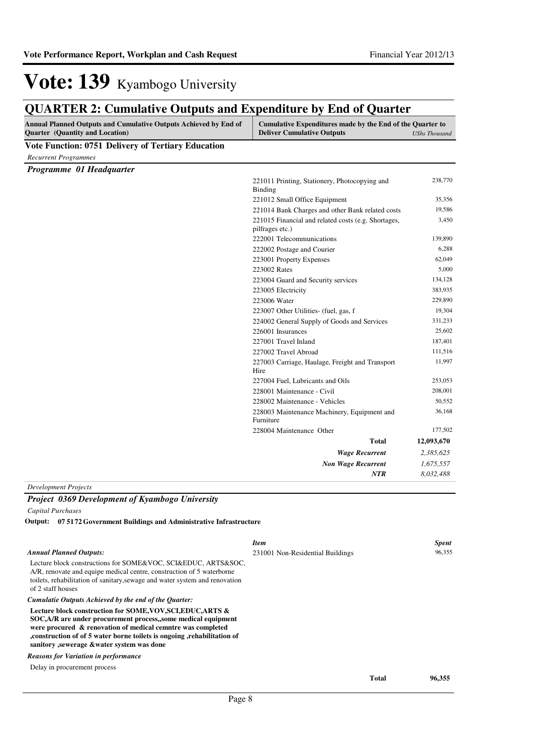## **QUARTER 2: Cumulative Outputs and Expenditure by End of Quarter**

| Annual Planned Outputs and Cumulative Outputs Achieved by End of<br><b>Quarter</b> (Quantity and Location) | Cumulative Expenditures made by the End of the Quarter to<br><b>Deliver Cumulative Outputs</b><br><b>UShs Thousand</b> |            |  |  |
|------------------------------------------------------------------------------------------------------------|------------------------------------------------------------------------------------------------------------------------|------------|--|--|
| <b>Vote Function: 0751 Delivery of Tertiary Education</b>                                                  |                                                                                                                        |            |  |  |
| <b>Recurrent Programmes</b>                                                                                |                                                                                                                        |            |  |  |
| Programme 01 Headquarter                                                                                   |                                                                                                                        |            |  |  |
|                                                                                                            | 221011 Printing, Stationery, Photocopying and                                                                          | 238,770    |  |  |
|                                                                                                            | Binding                                                                                                                |            |  |  |
|                                                                                                            | 221012 Small Office Equipment                                                                                          | 35,356     |  |  |
|                                                                                                            | 221014 Bank Charges and other Bank related costs                                                                       | 19,586     |  |  |
|                                                                                                            | 221015 Financial and related costs (e.g. Shortages,<br>pilfrages etc.)                                                 | 3,450      |  |  |
|                                                                                                            | 222001 Telecommunications                                                                                              | 139,890    |  |  |
|                                                                                                            | 222002 Postage and Courier                                                                                             | 6,288      |  |  |
|                                                                                                            | 223001 Property Expenses                                                                                               | 62,049     |  |  |
|                                                                                                            | 223002 Rates                                                                                                           | 5,000      |  |  |
|                                                                                                            | 223004 Guard and Security services                                                                                     | 134,128    |  |  |
|                                                                                                            | 223005 Electricity                                                                                                     | 383,935    |  |  |
|                                                                                                            | 223006 Water                                                                                                           | 229,890    |  |  |
|                                                                                                            | 223007 Other Utilities (fuel, gas, f                                                                                   | 19,304     |  |  |
|                                                                                                            | 224002 General Supply of Goods and Services                                                                            | 331,233    |  |  |
|                                                                                                            | 226001 Insurances                                                                                                      | 25,602     |  |  |
|                                                                                                            | 227001 Travel Inland                                                                                                   | 187,401    |  |  |
|                                                                                                            | 227002 Travel Abroad                                                                                                   | 111,516    |  |  |
|                                                                                                            | 227003 Carriage, Haulage, Freight and Transport<br>Hire                                                                | 11,997     |  |  |
|                                                                                                            | 227004 Fuel, Lubricants and Oils                                                                                       | 253,053    |  |  |
|                                                                                                            | 228001 Maintenance - Civil                                                                                             | 208,001    |  |  |
|                                                                                                            | 228002 Maintenance - Vehicles                                                                                          | 50,552     |  |  |
|                                                                                                            | 228003 Maintenance Machinery, Equipment and<br>Furniture                                                               | 36,168     |  |  |
|                                                                                                            | 228004 Maintenance Other                                                                                               | 177,502    |  |  |
|                                                                                                            | Total                                                                                                                  | 12,093,670 |  |  |
|                                                                                                            | <b>Wage Recurrent</b>                                                                                                  | 2,385,625  |  |  |
|                                                                                                            | <b>Non Wage Recurrent</b>                                                                                              | 1,675,557  |  |  |
|                                                                                                            | NTR                                                                                                                    | 8,032,488  |  |  |
| <b>Development Projects</b>                                                                                |                                                                                                                        |            |  |  |
| Project 0369 Development of Kyambogo University                                                            |                                                                                                                        |            |  |  |
| Capital Purchases                                                                                          |                                                                                                                        |            |  |  |
| 07 51 72 Government Buildings and Administrative Infrastructure<br>Output:                                 |                                                                                                                        |            |  |  |
|                                                                                                            | <b>Item</b>                                                                                                            | Spent      |  |  |

| <b>Annual Planned Outputs:</b> |  |
|--------------------------------|--|
|--------------------------------|--|

| Lecture block constructions for SOME&VOC, SCI&EDUC, ARTS&SOC,               |
|-----------------------------------------------------------------------------|
| A/R, renovate and equipe medical centre, construction of 5 waterborne       |
| toilets, rehabilitation of sanitary, sewage and water system and renovation |
| of 2 staff houses                                                           |

*Cumulatie Outputs Achieved by the end of the Quarter:*

**Lecture block construction for SOME,VOV,SCI,EDUC,ARTS & SOC,A/R are under procurement process,,some medical equipment were procured & renovation of medical cemntre was completed ,construction of of 5 water borne toilets is ongoing ,rehabilitation of sanitory ,sewerage &water system was done**

*Reasons for Variation in performance*

Delay in procurement process

**Total 96,355**

231001 Non-Residential Buildings 96,355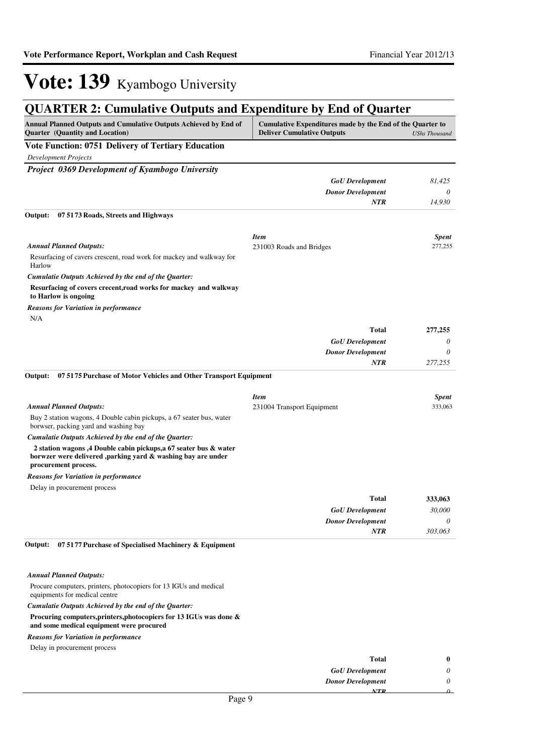## **QUARTER 2: Cumulative Outputs and Expenditure by End of Quarter**

| <b>Annual Planned Outputs and Cumulative Outputs Achieved by End of</b><br><b>Quarter</b> (Quantity and Location)                                         | Cumulative Expenditures made by the End of the Quarter to<br><b>Deliver Cumulative Outputs</b> | <b>UShs Thousand</b> |
|-----------------------------------------------------------------------------------------------------------------------------------------------------------|------------------------------------------------------------------------------------------------|----------------------|
| Vote Function: 0751 Delivery of Tertiary Education                                                                                                        |                                                                                                |                      |
| <b>Development Projects</b>                                                                                                                               |                                                                                                |                      |
| Project 0369 Development of Kyambogo University                                                                                                           |                                                                                                |                      |
|                                                                                                                                                           | <b>GoU</b> Development                                                                         | 81,425               |
|                                                                                                                                                           | <b>Donor Development</b>                                                                       | 0                    |
|                                                                                                                                                           | <b>NTR</b>                                                                                     | 14,930               |
| Output:<br>07 51 73 Roads, Streets and Highways                                                                                                           |                                                                                                |                      |
|                                                                                                                                                           | <b>Item</b>                                                                                    | <b>Spent</b>         |
| <b>Annual Planned Outputs:</b>                                                                                                                            | 231003 Roads and Bridges                                                                       | 277,255              |
| Resurfacing of cavers crescent, road work for mackey and walkway for<br>Harlow                                                                            |                                                                                                |                      |
| Cumulatie Outputs Achieved by the end of the Quarter:                                                                                                     |                                                                                                |                      |
| Resurfacing of covers crecent, road works for mackey and walkway<br>to Harlow is ongoing                                                                  |                                                                                                |                      |
| <b>Reasons for Variation in performance</b>                                                                                                               |                                                                                                |                      |
| N/A                                                                                                                                                       |                                                                                                |                      |
|                                                                                                                                                           | <b>Total</b>                                                                                   | 277,255              |
|                                                                                                                                                           | <b>GoU</b> Development                                                                         | 0                    |
|                                                                                                                                                           | <b>Donor Development</b>                                                                       | 0                    |
|                                                                                                                                                           | <b>NTR</b>                                                                                     | 277,255              |
| 075175 Purchase of Motor Vehicles and Other Transport Equipment<br>Output:                                                                                |                                                                                                |                      |
|                                                                                                                                                           | <b>Item</b>                                                                                    | <b>Spent</b>         |
| <b>Annual Planned Outputs:</b>                                                                                                                            | 231004 Transport Equipment                                                                     | 333,063              |
| Buy 2 station wagons, 4 Double cabin pickups, a 67 seater bus, water<br>borwser, packing yard and washing bay                                             |                                                                                                |                      |
| Cumulatie Outputs Achieved by the end of the Quarter:                                                                                                     |                                                                                                |                      |
| 2 station wagons ,4 Double cabin pickups, a 67 seater bus & water<br>borwzer were delivered ,parking yard & washing bay are under<br>procurement process. |                                                                                                |                      |
| <b>Reasons for Variation in performance</b>                                                                                                               |                                                                                                |                      |
| Delay in procurement process                                                                                                                              |                                                                                                |                      |
|                                                                                                                                                           | <b>Total</b>                                                                                   | 333,063              |
|                                                                                                                                                           | <b>GoU</b> Development                                                                         | 30,000               |
|                                                                                                                                                           | <b>Donor Development</b>                                                                       | 0                    |
|                                                                                                                                                           | <b>NTR</b>                                                                                     | 303,063              |
| Output:<br>07 51 77 Purchase of Specialised Machinery & Equipment                                                                                         |                                                                                                |                      |
|                                                                                                                                                           |                                                                                                |                      |
| <b>Annual Planned Outputs:</b>                                                                                                                            |                                                                                                |                      |

Procure computers, printers, photocopiers for 13 IGUs and medical equipments for medical centre

*Cumulatie Outputs Achieved by the end of the Quarter:*

#### **Procuring computers,printers,photocopiers for 13 IGUs was done &**

**and some medical equipment were procured**

#### *Reasons for Variation in performance*

| Delay in procurement process |  |
|------------------------------|--|
|------------------------------|--|

| 0 |
|---|
|   |
|   |
|   |
|   |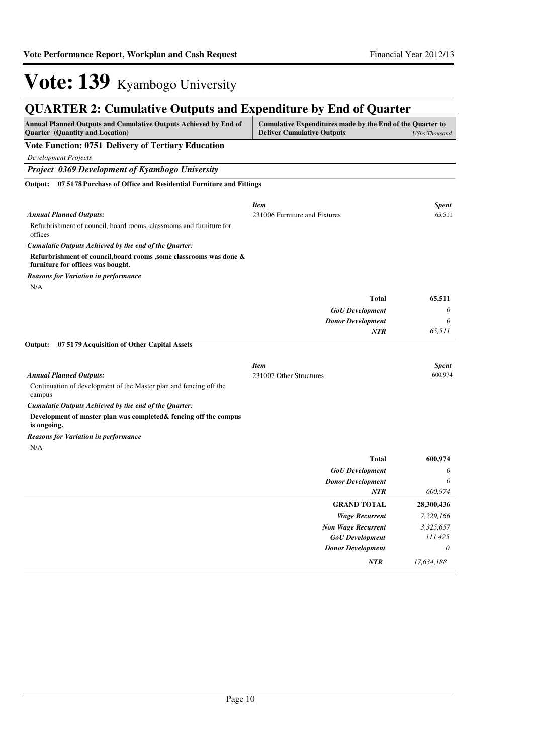*NTR 17,634,188*

# Vote: 139 Kyambogo University

## **QUARTER 2: Cumulative Outputs and Expenditure by End of Quarter**

| Annual Planned Outputs and Cumulative Outputs Achieved by End of<br><b>Quarter</b> (Quantity and Location) | Cumulative Expenditures made by the End of the Quarter to<br><b>Deliver Cumulative Outputs</b> | <b>UShs Thousand</b> |
|------------------------------------------------------------------------------------------------------------|------------------------------------------------------------------------------------------------|----------------------|
| <b>Vote Function: 0751 Delivery of Tertiary Education</b>                                                  |                                                                                                |                      |
| <b>Development Projects</b>                                                                                |                                                                                                |                      |
| <b>Project 0369 Development of Kyambogo University</b>                                                     |                                                                                                |                      |
| Output: 07 5178 Purchase of Office and Residential Furniture and Fittings                                  |                                                                                                |                      |
|                                                                                                            | <b>Item</b>                                                                                    | <b>Spent</b>         |
| <b>Annual Planned Outputs:</b>                                                                             | 231006 Furniture and Fixtures                                                                  | 65,511               |
| Refurbrishment of council, board rooms, classrooms and furniture for<br>offices                            |                                                                                                |                      |
| Cumulatie Outputs Achieved by the end of the Quarter:                                                      |                                                                                                |                      |
| Refurbrishment of council, board rooms, some classrooms was done &<br>furniture for offices was bought.    |                                                                                                |                      |
| <b>Reasons for Variation in performance</b>                                                                |                                                                                                |                      |
| N/A                                                                                                        |                                                                                                |                      |
|                                                                                                            | <b>Total</b>                                                                                   | 65,511               |
|                                                                                                            | <b>GoU</b> Development                                                                         | 0                    |
|                                                                                                            | <b>Donor Development</b>                                                                       | 0                    |
|                                                                                                            | <b>NTR</b>                                                                                     | 65,511               |
| Output:<br>07 51 79 Acquisition of Other Capital Assets                                                    |                                                                                                |                      |
|                                                                                                            | <b>Item</b>                                                                                    | <b>Spent</b>         |
| <b>Annual Planned Outputs:</b>                                                                             | 231007 Other Structures                                                                        | 600,974              |
| Continuation of development of the Master plan and fencing off the<br>campus                               |                                                                                                |                      |
| Cumulatie Outputs Achieved by the end of the Quarter:                                                      |                                                                                                |                      |
| Development of master plan was completed & fencing off the compus<br>is ongoing.                           |                                                                                                |                      |
| <b>Reasons for Variation in performance</b>                                                                |                                                                                                |                      |
| N/A                                                                                                        |                                                                                                |                      |
|                                                                                                            | <b>Total</b>                                                                                   | 600,974              |
|                                                                                                            | <b>GoU</b> Development                                                                         | 0                    |
|                                                                                                            | <b>Donor Development</b>                                                                       | 0                    |
|                                                                                                            | <b>NTR</b>                                                                                     | 600,974              |
|                                                                                                            | <b>GRAND TOTAL</b>                                                                             | 28,300,436           |
|                                                                                                            | <b>Wage Recurrent</b>                                                                          | 7,229,166            |
|                                                                                                            | <b>Non Wage Recurrent</b><br><b>GoU</b> Development                                            | 3,325,657<br>111,425 |
|                                                                                                            | <b>Donor Development</b>                                                                       | 0                    |
|                                                                                                            |                                                                                                |                      |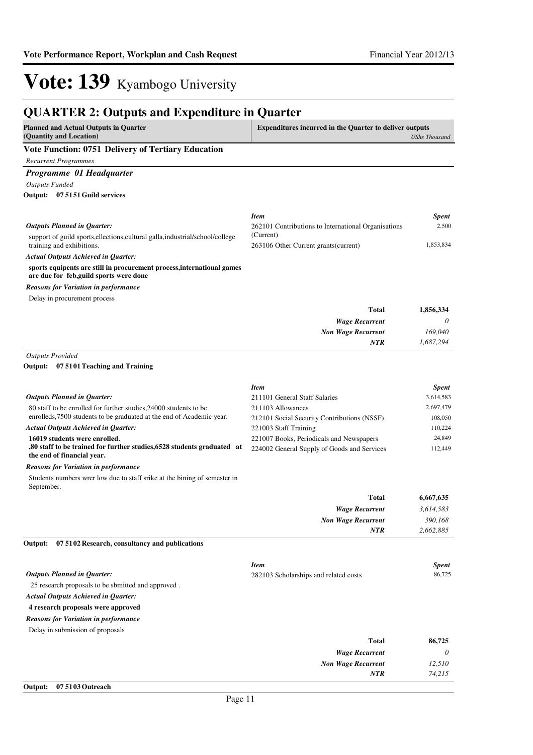*74,215*

*NTR*

## Vote: 139 Kyambogo University

#### **QUARTER 2: Outputs and Expenditure in Quarter Planned and Actual Outputs in Quarter (Quantity and Location) Expenditures incurred in the Quarter to deliver outputs**  *UShs Thousand* **Vote Function: 0751 Delivery of Tertiary Education** *Recurrent Programmes Programme 01 Headquarter Outputs Funded* support of guild sports,ellections,cultural galla,industrial/school/college training and exhibitions. **sports equipents are still in procurement process,international games are due for feb,guild sports were done 07 5151 Guild services Output:** *Wage Recurrent Non Wage Recurrent* **Total** *0 169,040 1,687,294* **1,856,334** *Actual Outputs Achieved in Quarter: Outputs Planned in Quarter: NTR* Delay in procurement process *Reasons for Variation in performance Item Spent* 262101 Contributions to International Organisations (Current) 2,500 263106 Other Current grants(current) 1,853,834 *Outputs Provided* 80 staff to be enrolled for further studies,24000 students to be enrolleds,7500 students to be graduated at the end of Academic year. **16019 students were enrolled. ,80 staff to be trained for further studies,6528 students graduated at the end of financial year. 07 5101 Teaching and Training Output:** *Wage Recurrent Non Wage Recurrent* **Total** *3,614,583 390,168 2,662,885* **6,667,635** *Actual Outputs Achieved in Quarter: Outputs Planned in Quarter: NTR* Students numbers wrer low due to staff srike at the bining of semester in September. *Reasons for Variation in performance Item Spent* 211101 General Staff Salaries 3,614,583 211103 Allowances 2,697,479 212101 Social Security Contributions (NSSF) 108,050 221003 Staff Training 110,224 221007 Books, Periodicals and Newspapers 24,849 224002 General Supply of Goods and Services 112,449 25 research proposals to be sbmitted and approved . **4 research proposals were approved 07 5102 Research, consultancy and publications** *Wage Recurrent Non Wage Recurrent* **Total** *0 12,510* **86,725** *Actual Outputs Achieved in Quarter: Outputs Planned in Quarter:* **Output:** Delay in submission of proposals *Reasons for Variation in performance Item Spent* 282103 Scholarships and related costs 86,725

| Output: |  | 07 51 03 Outreach |
|---------|--|-------------------|
|---------|--|-------------------|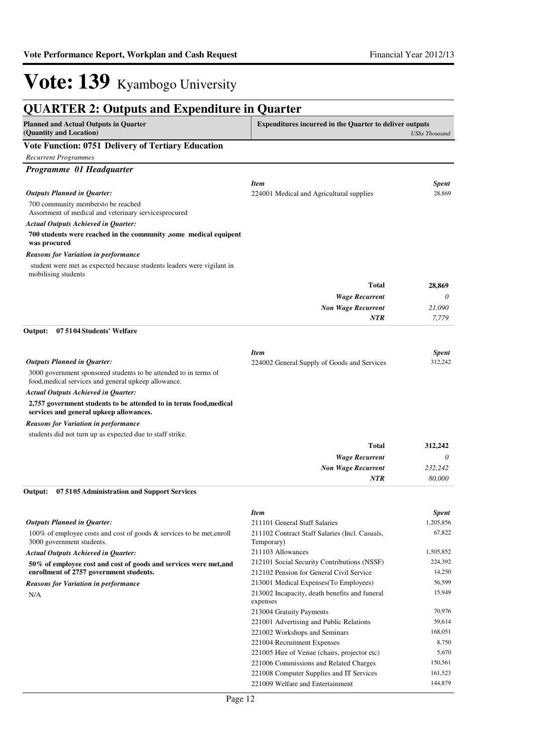| <b>QUARTER 2: Outputs and Expenditure in Quarter</b>                                                                     |                                                                |                        |
|--------------------------------------------------------------------------------------------------------------------------|----------------------------------------------------------------|------------------------|
| <b>Planned and Actual Outputs in Quarter</b><br>(Quantity and Location)                                                  | <b>Expenditures incurred in the Quarter to deliver outputs</b> | <b>UShs Thousand</b>   |
| <b>Vote Function: 0751 Delivery of Tertiary Education</b>                                                                |                                                                |                        |
| <b>Recurrent Programmes</b>                                                                                              |                                                                |                        |
| Programme 01 Headquarter                                                                                                 |                                                                |                        |
|                                                                                                                          |                                                                |                        |
| <b>Outputs Planned in Quarter:</b>                                                                                       | <b>Item</b><br>224001 Medical and Agricultural supplies        | <b>Spent</b><br>28,869 |
| 700 community membersto be reached                                                                                       |                                                                |                        |
| Assortment of medical and veterinary servicesprocured                                                                    |                                                                |                        |
| <b>Actual Outputs Achieved in Quarter:</b>                                                                               |                                                                |                        |
| 700 students were reached in the community , some medical equipent                                                       |                                                                |                        |
| was procured                                                                                                             |                                                                |                        |
| <b>Reasons for Variation in performance</b>                                                                              |                                                                |                        |
| student were met as expected because students leaders were vigilant in<br>mobilising students                            |                                                                |                        |
|                                                                                                                          | Total                                                          | 28,869                 |
|                                                                                                                          | <b>Wage Recurrent</b>                                          | 0                      |
|                                                                                                                          | <b>Non Wage Recurrent</b>                                      | 21,090                 |
|                                                                                                                          | <b>NTR</b>                                                     | 7,779                  |
| Output:<br>07 5104 Students' Welfare                                                                                     |                                                                |                        |
|                                                                                                                          |                                                                |                        |
|                                                                                                                          | <b>Item</b>                                                    | <b>Spent</b>           |
| <b>Outputs Planned in Quarter:</b>                                                                                       | 224002 General Supply of Goods and Services                    | 312,242                |
| 3000 government sponsored students to be attended to in terms of<br>food, medical services and general upkeep allowance. |                                                                |                        |
| <b>Actual Outputs Achieved in Quarter:</b>                                                                               |                                                                |                        |
| 2,757 government students to be attended to in terms food, medical<br>services and general upkeep allowances.            |                                                                |                        |
| <b>Reasons for Variation in performance</b>                                                                              |                                                                |                        |
| students did not turn up as expected due to staff strike.                                                                |                                                                |                        |
|                                                                                                                          | Total                                                          | 312,242                |
|                                                                                                                          | <b>Wage Recurrent</b>                                          | 0                      |
|                                                                                                                          | <b>Non Wage Recurrent</b>                                      | 232,242                |
|                                                                                                                          | <b>NTR</b>                                                     | 80,000                 |
| 07 5105 Administration and Support Services<br>Output:                                                                   |                                                                |                        |
|                                                                                                                          | <b>Item</b>                                                    | <b>Spent</b>           |
| <b>Outputs Planned in Quarter:</b>                                                                                       | 211101 General Staff Salaries                                  | 1,205,856              |
| 100% of employee costs and cost of goods & services to be met, enroll                                                    | 211102 Contract Staff Salaries (Incl. Casuals,                 | 67,822                 |
| 3000 government students.                                                                                                | Temporary)                                                     |                        |
| <b>Actual Outputs Achieved in Quarter:</b>                                                                               | 211103 Allowances                                              | 1,505,852              |
| 50% of employee cost and cost of goods and services were met, and                                                        | 212101 Social Security Contributions (NSSF)                    | 224,392                |
| enrollment of 2757 government students.                                                                                  | 212102 Pension for General Civil Service                       | 14,250                 |
| <b>Reasons for Variation in performance</b>                                                                              | 213001 Medical Expenses (To Employees)                         | 56,599                 |
| N/A                                                                                                                      | 213002 Incapacity, death benefits and funeral<br>expenses      | 15,949                 |
|                                                                                                                          | 213004 Gratuity Payments                                       | 70,976                 |
|                                                                                                                          | 221001 Advertising and Public Relations                        | 59,614                 |
|                                                                                                                          | 221002 Workshops and Seminars                                  | 168,051                |
|                                                                                                                          | 221004 Recruitment Expenses                                    | 8,750                  |
|                                                                                                                          | 221005 Hire of Venue (chairs, projector etc)                   | 5,670                  |
|                                                                                                                          | 221006 Commissions and Related Charges                         | 150,561                |
|                                                                                                                          | 221008 Computer Supplies and IT Services                       | 161,523                |
|                                                                                                                          | 221009 Welfare and Entertainment                               | 144,879                |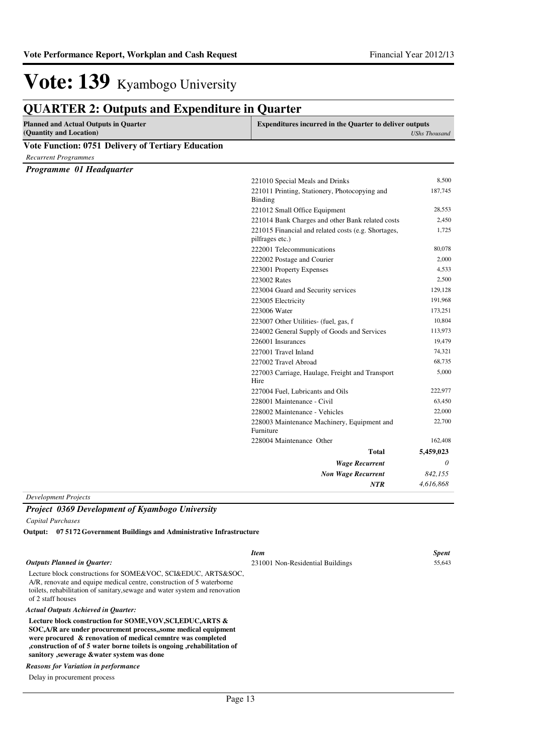## **QUARTER 2: Outputs and Expenditure in Quarter**

| <b>Planned and Actual Outputs in Quarter</b><br>(Quantity and Location) | <b>Expenditures incurred in the Quarter to deliver outputs</b><br><b>UShs Thousand</b> |           |
|-------------------------------------------------------------------------|----------------------------------------------------------------------------------------|-----------|
| <b>Vote Function: 0751 Delivery of Tertiary Education</b>               |                                                                                        |           |
| <b>Recurrent Programmes</b>                                             |                                                                                        |           |
| Programme 01 Headquarter                                                |                                                                                        |           |
|                                                                         | 221010 Special Meals and Drinks                                                        | 8,500     |
|                                                                         | 221011 Printing, Stationery, Photocopying and                                          | 187,745   |
|                                                                         | <b>Binding</b>                                                                         |           |
|                                                                         | 221012 Small Office Equipment                                                          | 28,553    |
|                                                                         | 221014 Bank Charges and other Bank related costs                                       | 2,450     |
|                                                                         | 221015 Financial and related costs (e.g. Shortages,<br>pilfrages etc.)                 | 1,725     |
|                                                                         | 222001 Telecommunications                                                              | 80,078    |
|                                                                         | 222002 Postage and Courier                                                             | 2,000     |
|                                                                         | 223001 Property Expenses                                                               | 4,533     |
|                                                                         | 223002 Rates                                                                           | 2,500     |
|                                                                         | 223004 Guard and Security services                                                     | 129,128   |
|                                                                         | 223005 Electricity                                                                     | 191,968   |
|                                                                         | 223006 Water                                                                           | 173,251   |
|                                                                         | 223007 Other Utilities- (fuel, gas, f                                                  | 10,804    |
|                                                                         | 224002 General Supply of Goods and Services                                            | 113,973   |
|                                                                         | 226001 Insurances                                                                      | 19,479    |
|                                                                         | 227001 Travel Inland                                                                   | 74,321    |
|                                                                         | 227002 Travel Abroad                                                                   | 68,735    |
|                                                                         | 227003 Carriage, Haulage, Freight and Transport<br>Hire                                | 5,000     |
|                                                                         | 227004 Fuel, Lubricants and Oils                                                       | 222,977   |
|                                                                         | 228001 Maintenance - Civil                                                             | 63,450    |
|                                                                         | 228002 Maintenance - Vehicles                                                          | 22,000    |
|                                                                         | 228003 Maintenance Machinery, Equipment and<br>Furniture                               | 22,700    |
|                                                                         | 228004 Maintenance Other                                                               | 162,408   |
|                                                                         | <b>Total</b>                                                                           | 5,459,023 |
|                                                                         | <b>Wage Recurrent</b>                                                                  | $\theta$  |
|                                                                         | <b>Non Wage Recurrent</b>                                                              | 842,155   |
|                                                                         | <b>NTR</b>                                                                             | 4,616,868 |

*Development Projects*

## *Project 0369 Development of Kyambogo University*

*Capital Purchases*

**07 5172 Government Buildings and Administrative Infrastructure Output:**

|                                                                                                                                                                                                                                                                                                                       | <b>Item</b>                      | <b>Spent</b> |
|-----------------------------------------------------------------------------------------------------------------------------------------------------------------------------------------------------------------------------------------------------------------------------------------------------------------------|----------------------------------|--------------|
| <b>Outputs Planned in Ouarter:</b>                                                                                                                                                                                                                                                                                    | 231001 Non-Residential Buildings | 55,643       |
| Lecture block constructions for SOME&VOC, SCI&EDUC, ARTS&SOC,<br>A/R, renovate and equipe medical centre, construction of 5 waterborne<br>toilets, rehabilitation of sanitary, sewage and water system and renovation<br>of 2 staff houses                                                                            |                                  |              |
| <b>Actual Outputs Achieved in Ouarter:</b>                                                                                                                                                                                                                                                                            |                                  |              |
| Lecture block construction for SOME, VOV, SCI, EDUC, ARTS &<br>SOC, A/R are under procurement process, some medical equipment<br>were procured & renovation of medical cemntre was completed<br>construction of of 5 water borne toilets is ongoing, rehabilitation of<br>sanitory , sewerage & water system was done |                                  |              |
| <b>Reasons for Variation in performance</b>                                                                                                                                                                                                                                                                           |                                  |              |

Delay in procurement process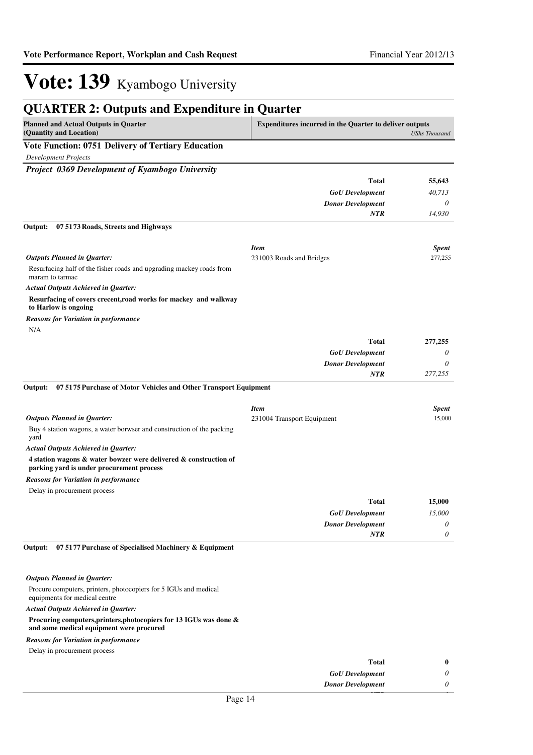| <b>QUARTER 2: Outputs and Expenditure in Quarter</b>                                                          |                                                                                        |              |
|---------------------------------------------------------------------------------------------------------------|----------------------------------------------------------------------------------------|--------------|
| <b>Planned and Actual Outputs in Quarter</b><br>(Quantity and Location)                                       | <b>Expenditures incurred in the Quarter to deliver outputs</b><br><b>UShs Thousand</b> |              |
| Vote Function: 0751 Delivery of Tertiary Education                                                            |                                                                                        |              |
| <b>Development Projects</b>                                                                                   |                                                                                        |              |
| Project 0369 Development of Kyambogo University                                                               |                                                                                        |              |
|                                                                                                               | Total                                                                                  | 55,643       |
|                                                                                                               | <b>GoU</b> Development                                                                 | 40,713       |
|                                                                                                               | <b>Donor Development</b>                                                               | $\theta$     |
|                                                                                                               | <b>NTR</b>                                                                             | 14,930       |
| Output:<br>07 5173 Roads, Streets and Highways                                                                |                                                                                        |              |
|                                                                                                               | <b>Item</b>                                                                            | <b>Spent</b> |
| <b>Outputs Planned in Quarter:</b>                                                                            | 231003 Roads and Bridges                                                               | 277,255      |
| Resurfacing half of the fisher roads and upgrading mackey roads from<br>maram to tarmac                       |                                                                                        |              |
| <b>Actual Outputs Achieved in Quarter:</b>                                                                    |                                                                                        |              |
| Resurfacing of covers crecent, road works for mackey and walkway<br>to Harlow is ongoing                      |                                                                                        |              |
| <b>Reasons for Variation in performance</b>                                                                   |                                                                                        |              |
| N/A                                                                                                           |                                                                                        |              |
|                                                                                                               | <b>Total</b>                                                                           | 277,255      |
|                                                                                                               | <b>GoU</b> Development                                                                 | 0            |
|                                                                                                               | <b>Donor Development</b>                                                               | 0            |
| Output:<br>075175 Purchase of Motor Vehicles and Other Transport Equipment                                    | <b>NTR</b>                                                                             | 277,255      |
|                                                                                                               |                                                                                        |              |
|                                                                                                               | <b>Item</b>                                                                            | <b>Spent</b> |
| <b>Outputs Planned in Quarter:</b>                                                                            | 231004 Transport Equipment                                                             | 15,000       |
| Buy 4 station wagons, a water borwser and construction of the packing<br>yard                                 |                                                                                        |              |
| <b>Actual Outputs Achieved in Quarter:</b>                                                                    |                                                                                        |              |
| 4 station wagons & water bowzer were delivered & construction of<br>parking yard is under procurement process |                                                                                        |              |
| <b>Reasons for Variation in performance</b>                                                                   |                                                                                        |              |
| Delay in procurement process                                                                                  |                                                                                        |              |
|                                                                                                               | <b>Total</b>                                                                           | 15,000       |
|                                                                                                               | <b>GoU</b> Development                                                                 | 15,000       |
|                                                                                                               | <b>Donor Development</b>                                                               | $\theta$     |
|                                                                                                               | <b>NTR</b>                                                                             | 0            |

#### *Outputs Planned in Quarter:*

Procure computers, printers, photocopiers for 5 IGUs and medical equipments for medical centre

#### *Actual Outputs Achieved in Quarter:*

#### **Procuring computers,printers,photocopiers for 13 IGUs was done &**

#### **and some medical equipment were procured**

Delay in procurement process *Reasons for Variation in performance*

| <b>Total</b>             |   |
|--------------------------|---|
| <b>GoU</b> Development   | 0 |
| <b>Donor Development</b> | 0 |
| $D_{0}$ and $14$         |   |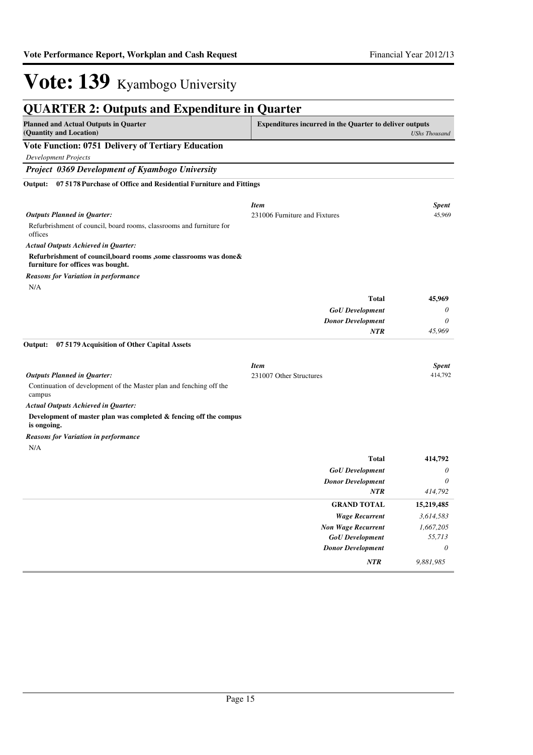| <b>QUARTER 2: Outputs and Expenditure in Quarter</b>                                                    |                                                                |                      |
|---------------------------------------------------------------------------------------------------------|----------------------------------------------------------------|----------------------|
| <b>Planned and Actual Outputs in Quarter</b><br>(Quantity and Location)                                 | <b>Expenditures incurred in the Quarter to deliver outputs</b> | <b>UShs Thousand</b> |
| <b>Vote Function: 0751 Delivery of Tertiary Education</b>                                               |                                                                |                      |
| <b>Development Projects</b>                                                                             |                                                                |                      |
| Project 0369 Development of Kyambogo University                                                         |                                                                |                      |
| Output:<br>07 5178 Purchase of Office and Residential Furniture and Fittings                            |                                                                |                      |
|                                                                                                         | <b>Item</b>                                                    | <b>Spent</b>         |
| <b>Outputs Planned in Quarter:</b>                                                                      | 231006 Furniture and Fixtures                                  | 45,969               |
| Refurbrishment of council, board rooms, classrooms and furniture for<br>offices                         |                                                                |                      |
| <b>Actual Outputs Achieved in Quarter:</b>                                                              |                                                                |                      |
| Refurbrishment of council, board rooms ,some classrooms was done &<br>furniture for offices was bought. |                                                                |                      |
| <b>Reasons for Variation in performance</b>                                                             |                                                                |                      |
| N/A                                                                                                     |                                                                |                      |
|                                                                                                         | <b>Total</b>                                                   | 45,969               |
|                                                                                                         | <b>GoU</b> Development                                         | 0                    |
|                                                                                                         | <b>Donor Development</b>                                       | 0                    |
|                                                                                                         | <b>NTR</b>                                                     | 45,969               |
| Output:<br>07 5179 Acquisition of Other Capital Assets                                                  |                                                                |                      |
|                                                                                                         | <b>Item</b>                                                    | <b>Spent</b>         |
| <b>Outputs Planned in Quarter:</b>                                                                      | 231007 Other Structures                                        | 414,792              |
| Continuation of development of the Master plan and fenching off the<br>campus                           |                                                                |                      |
| <b>Actual Outputs Achieved in Quarter:</b>                                                              |                                                                |                      |
| Development of master plan was completed $\&$ fencing off the compus<br>is ongoing.                     |                                                                |                      |
| <b>Reasons for Variation in performance</b>                                                             |                                                                |                      |
| N/A                                                                                                     |                                                                |                      |
|                                                                                                         | <b>Total</b>                                                   | 414,792              |
|                                                                                                         | <b>GoU</b> Development                                         | 0                    |
|                                                                                                         | <b>Donor Development</b>                                       | 0                    |
|                                                                                                         | <b>NTR</b>                                                     | 414,792              |
|                                                                                                         | <b>GRAND TOTAL</b>                                             | 15,219,485           |

| $\cdots$                  | 717,722    |
|---------------------------|------------|
| <b>GRAND TOTAL</b>        | 15,219,485 |
| <b>Wage Recurrent</b>     | 3,614,583  |
| <b>Non Wage Recurrent</b> | 1,667,205  |
| <b>GoU</b> Development    | 55,713     |
| <b>Donor Development</b>  | $\theta$   |
| <b>NTR</b>                | 9,881,985  |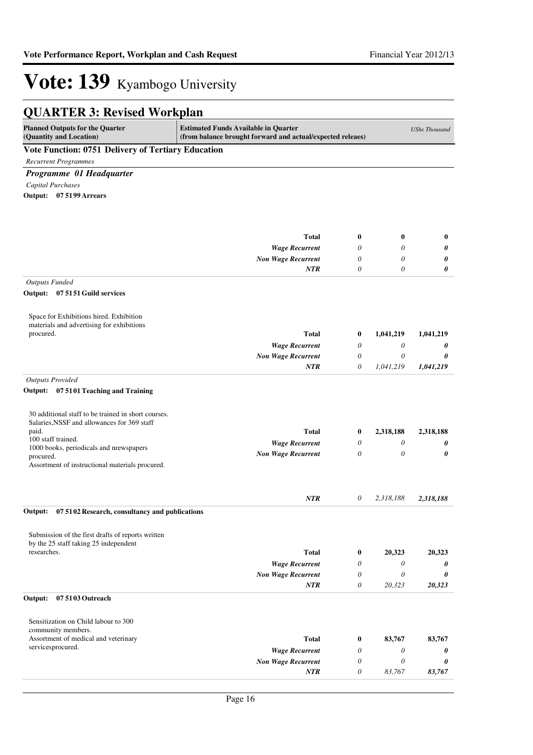| <b>QUARTER 3: Revised Workplan</b>                                                                 |                                                                                                           |          |                       |                      |
|----------------------------------------------------------------------------------------------------|-----------------------------------------------------------------------------------------------------------|----------|-----------------------|----------------------|
| <b>Planned Outputs for the Quarter</b><br>(Quantity and Location)                                  | <b>Estimated Funds Available in Quarter</b><br>(from balance brought forward and actual/expected releaes) |          |                       | <b>UShs Thousand</b> |
| Vote Function: 0751 Delivery of Tertiary Education                                                 |                                                                                                           |          |                       |                      |
| <b>Recurrent Programmes</b>                                                                        |                                                                                                           |          |                       |                      |
| Programme 01 Headquarter                                                                           |                                                                                                           |          |                       |                      |
| Capital Purchases                                                                                  |                                                                                                           |          |                       |                      |
| Output: 07 5199 Arrears                                                                            |                                                                                                           |          |                       |                      |
|                                                                                                    |                                                                                                           |          |                       |                      |
|                                                                                                    | <b>Total</b>                                                                                              | $\bf{0}$ | $\bf{0}$              | $\bf{0}$             |
|                                                                                                    | <b>Wage Recurrent</b>                                                                                     | $\theta$ | 0                     | 0                    |
|                                                                                                    | <b>Non Wage Recurrent</b>                                                                                 | 0        | 0                     | 0                    |
|                                                                                                    | <b>NTR</b>                                                                                                | $\theta$ | $\theta$              | 0                    |
| <b>Outputs Funded</b>                                                                              |                                                                                                           |          |                       |                      |
| Output: 07 51 51 Guild services                                                                    |                                                                                                           |          |                       |                      |
| Space for Exhibitions hired. Exhibition<br>materials and advertising for exhibitions               |                                                                                                           |          |                       |                      |
| procured.                                                                                          | <b>Total</b>                                                                                              | $\bf{0}$ | 1,041,219             | 1,041,219            |
|                                                                                                    | <b>Wage Recurrent</b>                                                                                     | 0        | 0                     | 0                    |
|                                                                                                    | <b>Non Wage Recurrent</b>                                                                                 | 0        | 0                     | 0                    |
|                                                                                                    | <b>NTR</b>                                                                                                | 0        | 1,041,219             | 1,041,219            |
| <b>Outputs Provided</b>                                                                            |                                                                                                           |          |                       |                      |
| Output: 07 5101 Teaching and Training                                                              |                                                                                                           |          |                       |                      |
| 30 additional staff to be trained in short courses.<br>Salaries, NSSF and allowances for 369 staff |                                                                                                           |          |                       |                      |
| paid.<br>100 staff trained.                                                                        | <b>Total</b>                                                                                              | $\bf{0}$ | 2,318,188             | 2,318,188            |
| 1000 books, periodicals and nrewspapers                                                            | <b>Wage Recurrent</b>                                                                                     | 0        | 0                     | 0                    |
| procured.<br>Assortment of instructional materials procured.                                       | <b>Non Wage Recurrent</b>                                                                                 | $\theta$ | 0                     | 0                    |
|                                                                                                    | NTR                                                                                                       | 0        | 2,318,188             | 2,318,188            |
| Output: 07 51 02 Research, consultancy and publications                                            |                                                                                                           |          |                       |                      |
| Submission of the first drafts of reports written<br>by the 25 staff taking 25 independent         |                                                                                                           |          |                       |                      |
| researches.                                                                                        | <b>Total</b>                                                                                              | $\bf{0}$ | 20,323                | 20,323               |
|                                                                                                    | <b>Wage Recurrent</b>                                                                                     | 0        | 0                     | 0                    |
|                                                                                                    | <b>Non Wage Recurrent</b>                                                                                 | 0        | 0                     | 0                    |
|                                                                                                    | <b>NTR</b>                                                                                                | $\theta$ | 20,323                | 20,323               |
| 07 5103 Outreach<br>Output:                                                                        |                                                                                                           |          |                       |                      |
| Sensitization on Child labour to 300<br>community members.                                         |                                                                                                           |          |                       |                      |
| Assortment of medical and veterinary                                                               | <b>Total</b>                                                                                              | $\bf{0}$ | 83,767                | 83,767               |
| servicesprocured.                                                                                  | <b>Wage Recurrent</b>                                                                                     | 0        | 0                     | 0                    |
|                                                                                                    | <b>Non Wage Recurrent</b>                                                                                 | $\theta$ | $\boldsymbol{\theta}$ | 0                    |
|                                                                                                    | <b>NTR</b>                                                                                                | $\theta$ | 83,767                | 83,767               |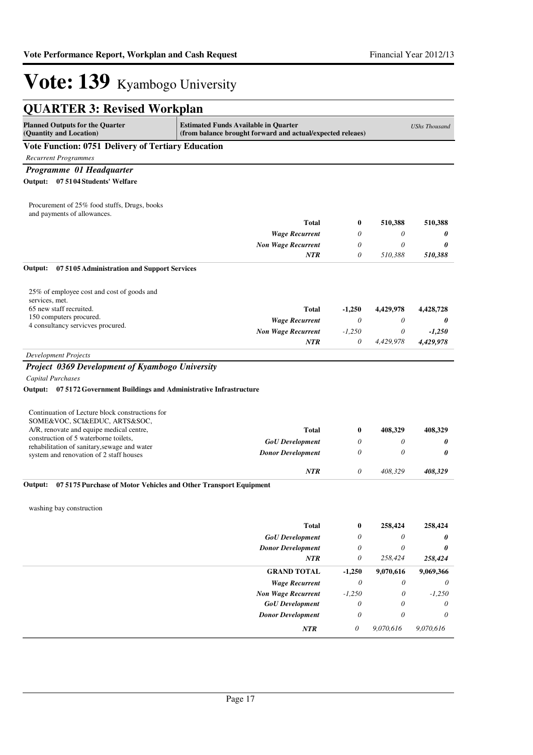| <b>QUARTER 3: Revised Workplan</b>                                                                                                                                             |                           |                           |                           |           |
|--------------------------------------------------------------------------------------------------------------------------------------------------------------------------------|---------------------------|---------------------------|---------------------------|-----------|
| <b>Estimated Funds Available in Quarter</b><br><b>Planned Outputs for the Quarter</b><br>(Quantity and Location)<br>(from balance brought forward and actual/expected releaes) |                           |                           |                           |           |
| Vote Function: 0751 Delivery of Tertiary Education                                                                                                                             |                           |                           |                           |           |
| <b>Recurrent Programmes</b>                                                                                                                                                    |                           |                           |                           |           |
| Programme 01 Headquarter                                                                                                                                                       |                           |                           |                           |           |
| Output: 07 5104 Students' Welfare                                                                                                                                              |                           |                           |                           |           |
| Procurement of 25% food stuffs, Drugs, books<br>and payments of allowances.                                                                                                    |                           |                           |                           |           |
|                                                                                                                                                                                | <b>Total</b>              | $\bf{0}$                  | 510,388                   | 510,388   |
|                                                                                                                                                                                | <b>Wage Recurrent</b>     | 0                         | 0                         | 0         |
|                                                                                                                                                                                | <b>Non Wage Recurrent</b> | 0                         | 0                         | 0         |
|                                                                                                                                                                                | <b>NTR</b>                | 0                         | 510,388                   | 510,388   |
| Output:<br>07 5105 Administration and Support Services                                                                                                                         |                           |                           |                           |           |
| 25% of employee cost and cost of goods and<br>services, met.                                                                                                                   |                           |                           |                           |           |
| 65 new staff recruited.                                                                                                                                                        | Total                     | $-1,250$                  | 4,429,978                 | 4,428,728 |
| 150 computers procured.<br>4 consultancy servicves procured.                                                                                                                   | <b>Wage Recurrent</b>     | $\boldsymbol{\theta}$     | 0                         | 0         |
|                                                                                                                                                                                | <b>Non Wage Recurrent</b> | $-1,250$                  | 0                         | $-1,250$  |
|                                                                                                                                                                                | <b>NTR</b>                | 0                         | 4,429,978                 | 4,429,978 |
| <b>Development Projects</b>                                                                                                                                                    |                           |                           |                           |           |
| Project 0369 Development of Kyambogo University                                                                                                                                |                           |                           |                           |           |
| Capital Purchases                                                                                                                                                              |                           |                           |                           |           |
| Output: 07 5172 Government Buildings and Administrative Infrastructure                                                                                                         |                           |                           |                           |           |
|                                                                                                                                                                                |                           |                           |                           |           |
| Continuation of Lecture block constructions for<br>SOME&VOC, SCI&EDUC, ARTS&SOC,                                                                                               |                           |                           |                           |           |
| A/R, renovate and equipe medical centre,                                                                                                                                       | Total                     | $\bf{0}$                  | 408,329                   | 408,329   |
| construction of 5 waterborne toilets,<br>rehabilitation of sanitary, sewage and water                                                                                          | <b>GoU</b> Development    | 0                         | 0                         | 0         |
| system and renovation of 2 staff houses                                                                                                                                        | <b>Donor Development</b>  | 0                         | 0                         | 0         |
|                                                                                                                                                                                | <b>NTR</b>                | 0                         | 408,329                   | 408,329   |
| Output:<br>075175 Purchase of Motor Vehicles and Other Transport Equipment                                                                                                     |                           |                           |                           |           |
| washing bay construction                                                                                                                                                       |                           |                           |                           |           |
|                                                                                                                                                                                | <b>Total</b>              | $\boldsymbol{0}$          | 258,424                   | 258,424   |
|                                                                                                                                                                                | <b>GoU</b> Development    | $\boldsymbol{\mathit{0}}$ | $\boldsymbol{\mathit{0}}$ | 0         |
|                                                                                                                                                                                | <b>Donor Development</b>  | 0                         | $\boldsymbol{\mathit{0}}$ | 0         |
|                                                                                                                                                                                | NTR                       | $\boldsymbol{\mathit{0}}$ | 258,424                   | 258,424   |
|                                                                                                                                                                                | <b>GRAND TOTAL</b>        | $-1,250$                  | 9,070,616                 | 9,069,366 |
|                                                                                                                                                                                | <b>Wage Recurrent</b>     | 0                         | 0                         | 0         |
|                                                                                                                                                                                | <b>Non Wage Recurrent</b> | $-1,250$                  | $\theta$                  | $-1,250$  |
|                                                                                                                                                                                | <b>GoU</b> Development    | 0                         | 0                         | 0         |
|                                                                                                                                                                                | <b>Donor Development</b>  | $\theta$                  | $\boldsymbol{\theta}$     | $\theta$  |
|                                                                                                                                                                                | NTR                       | 0                         | 9,070,616                 | 9,070,616 |
|                                                                                                                                                                                |                           |                           |                           |           |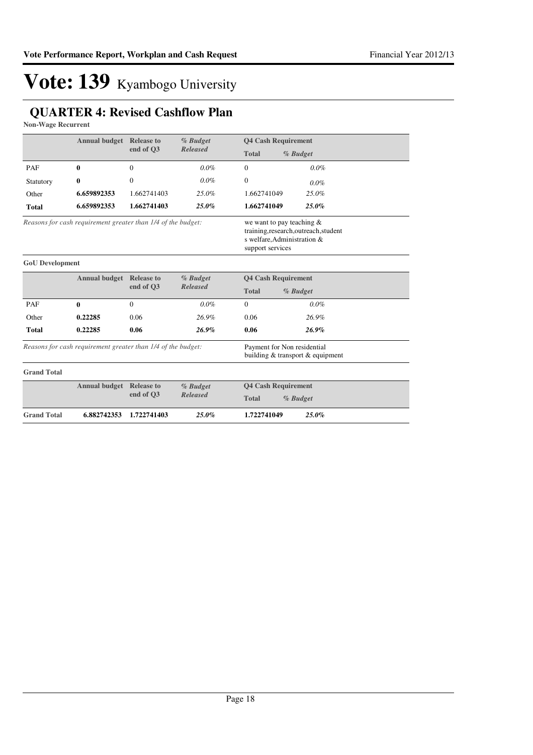### **QUARTER 4: Revised Cashflow Plan**

**Non-Wage Recurrent**

|                                                              | <b>Annual budget</b> | <b>Release to</b><br>end of O3                                                  | % Budget<br>Released                  | <b>Q4 Cash Requirement</b> |          |  |
|--------------------------------------------------------------|----------------------|---------------------------------------------------------------------------------|---------------------------------------|----------------------------|----------|--|
|                                                              |                      |                                                                                 |                                       | <b>Total</b>               | % Budget |  |
| PAF                                                          | $\bf{0}$             | $\theta$                                                                        | $0.0\%$                               | $\mathbf{0}$               | $0.0\%$  |  |
| Statutory                                                    | $\boldsymbol{0}$     | $\theta$                                                                        | $0.0\%$                               | $\mathbf{0}$               | $0.0\%$  |  |
| Other                                                        | 6.659892353          | 1.662741403                                                                     | $25.0\%$                              | 1.662741049                | 25.0%    |  |
| <b>Total</b>                                                 | 6.659892353          | 1.662741403                                                                     | $25.0\%$                              | 1.662741049                | 25.0%    |  |
| Reasons for cash requirement greater than 1/4 of the budget: |                      | we want to pay teaching $\&$<br>s welfare, Administration &<br>support services | training, research, outreach, student |                            |          |  |

| <b>GoU</b> Development |                      |                               |          |                            |          |
|------------------------|----------------------|-------------------------------|----------|----------------------------|----------|
|                        | <b>Annual budget</b> | % Budget<br><b>Release to</b> |          | <b>Q4 Cash Requirement</b> |          |
|                        |                      | end of O3                     | Released | <b>Total</b>               | % Budget |
| PAF                    | 0                    | $\theta$                      | $0.0\%$  | $\theta$                   | $0.0\%$  |
| Other                  | 0.22285              | 0.06                          | 26.9%    | 0.06                       | 26.9%    |
| <b>Total</b>           | 0.22285              | 0.06                          | 26.9%    | 0.06                       | $26.9\%$ |
|                        |                      |                               |          |                            |          |

*Reasons for cash requirement greater than 1/4 of the budget:*

Payment for Non residential building & transport & equipment

| <b>Grand Total</b> |                                 |           |            |                            |
|--------------------|---------------------------------|-----------|------------|----------------------------|
|                    | <b>Annual budget Release to</b> |           | $%$ Budget | <b>04 Cash Requirement</b> |
|                    |                                 | end of O3 | Released   | <b>Total</b><br>% Budget   |
| <b>Grand Total</b> | 6.882742353 1.722741403         |           | $25.0\%$   | 1.722741049<br>$25.0\%$    |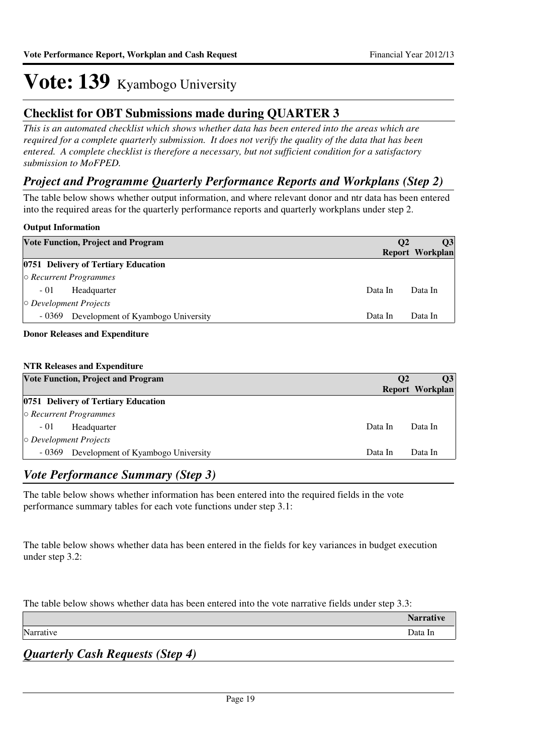### **Checklist for OBT Submissions made during QUARTER 3**

*This is an automated checklist which shows whether data has been entered into the areas which are required for a complete quarterly submission. It does not verify the quality of the data that has been entered. A complete checklist is therefore a necessary, but not sufficient condition for a satisfactory submission to MoFPED.*

### *Project and Programme Quarterly Performance Reports and Workplans (Step 2)*

The table below shows whether output information, and where relevant donor and ntr data has been entered into the required areas for the quarterly performance reports and quarterly workplans under step 2.

#### **Output Information**

|                              | <b>Vote Function, Project and Program</b> | <b>O2</b> | <b>O3</b><br><b>Report Workplan</b> |
|------------------------------|-------------------------------------------|-----------|-------------------------------------|
|                              | 0751 Delivery of Tertiary Education       |           |                                     |
|                              | $\circ$ Recurrent Programmes              |           |                                     |
| $-01$                        | Headquarter                               | Data In   | Data In                             |
| $\circ$ Development Projects |                                           |           |                                     |
| - 0369                       | Development of Kyambogo University        | Data In   | Data In                             |
|                              |                                           |           |                                     |

#### **Donor Releases and Expenditure**

#### **NTR Releases and Expenditure**

| <b>Vote Function, Project and Program</b>    | <b>O2</b> | $\overline{O3}$<br>Report Workplan |
|----------------------------------------------|-----------|------------------------------------|
| 0751 Delivery of Tertiary Education          |           |                                    |
| $\circ$ Recurrent Programmes                 |           |                                    |
| $-01$<br>Headquarter                         | Data In   | Data In                            |
| $\circ$ Development Projects                 |           |                                    |
| - 0369<br>Development of Kyambogo University | Data In   | Data In                            |

#### *Vote Performance Summary (Step 3)*

The table below shows whether information has been entered into the required fields in the vote performance summary tables for each vote functions under step 3.1:

The table below shows whether data has been entered in the fields for key variances in budget execution under step 3.2:

The table below shows whether data has been entered into the vote narrative fields under step 3.3:

|           | $\blacksquare$ |
|-----------|----------------|
| Narrative | Data In        |
|           |                |

*Quarterly Cash Requests (Step 4)*